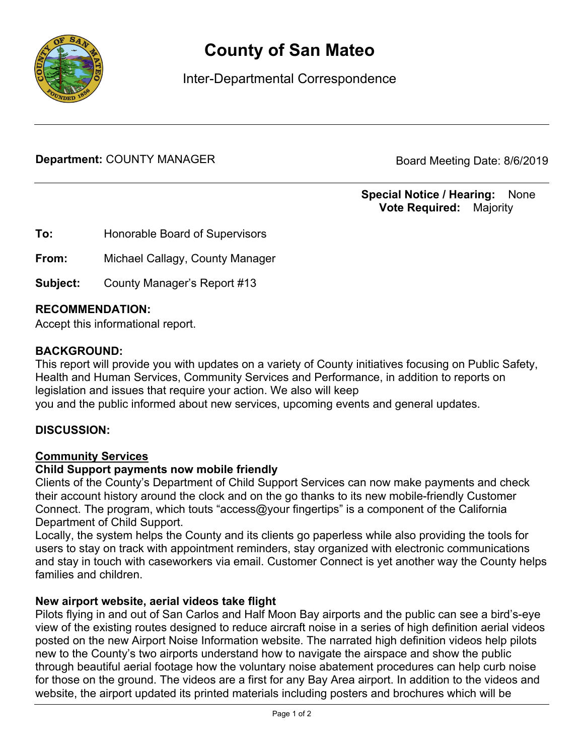

# **County of San Mateo**

Inter-Departmental Correspondence

**Department:** COUNTY MANAGER Board Meeting Date: 8/6/2019

**Special Notice / Hearing:** None\_\_ **Vote Required:** Majority

**To:** Honorable Board of Supervisors

**From:** Michael Callagy, County Manager

**Subject:** County Manager's Report #13

## **RECOMMENDATION:**

Accept this informational report.

## **BACKGROUND:**

This report will provide you with updates on a variety of County initiatives focusing on Public Safety, Health and Human Services, Community Services and Performance, in addition to reports on legislation and issues that require your action. We also will keep you and the public informed about new services, upcoming events and general updates.

## **DISCUSSION:**

#### Community Services

#### **Child Support payments now mobile friendly**

Clients of the County's Department of Child Support Services can now make payments and check their account history around the clock and on the go thanks to its new mobile-friendly Customer Connect. The program, which touts "access@your fingertips" is a component of the California Department of Child Support.

Locally, the system helps the County and its clients go paperless while also providing the tools for users to stay on track with appointment reminders, stay organized with electronic communications and stay in touch with caseworkers via email. Customer Connect is yet another way the County helps families and children.

#### **New airport website, aerial videos take flight**

Pilots flying in and out of San Carlos and Half Moon Bay airports and the public can see a bird's-eye view of the existing routes designed to reduce aircraft noise in a series of high definition aerial videos posted on the new Airport Noise Information website. The narrated high definition videos help pilots new to the County's two airports understand how to navigate the airspace and show the public through beautiful aerial footage how the voluntary noise abatement procedures can help curb noise for those on the ground. The videos are a first for any Bay Area airport. In addition to the videos and website, the airport updated its printed materials including posters and brochures which will be